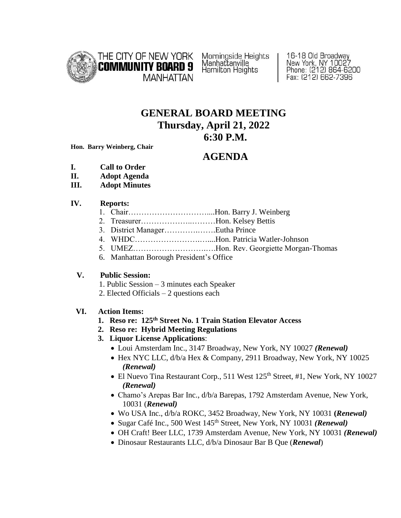

Morningside Heights<br>Manhattanville Hamilton Heights

16-18 Old Broadway New York, NY 10027<br>Phone: (212) 864-6200 Fax: (212) 662-7396

## **GENERAL BOARD MEETING Thursday, April 21, 2022 6:30 P.M.**

**Hon. Barry Weinberg, Chair**

# **AGENDA**

- **I. Call to Order**
- **II. Adopt Agenda**
- **III. Adopt Minutes**

#### **IV. Reports:**

- 1. Chair…………………………....Hon. Barry J. Weinberg
- 2. Treasurer………………..………Hon. Kelsey Bettis
- 3. District Manager………….…….Eutha Prince
- 4. WHDC…………………….…....Hon. Patricia Watler-Johnson
- 5. UMEZ……………………….….Hon. Rev. Georgiette Morgan-Thomas
- 6. Manhattan Borough President's Office

## **V. Public Session:**

- 1. Public Session 3 minutes each Speaker
- 2. Elected Officials 2 questions each

## **VI. Action Items:**

- **1. Reso re: 125th Street No. 1 Train Station Elevator Access**
- **2. Reso re: Hybrid Meeting Regulations**
- **3. Liquor License Applications**:
	- Loui Amsterdam Inc., 3147 Broadway, New York, NY 10027 *(Renewal)*
	- Hex NYC LLC, d/b/a Hex & Company, 2911 Broadway, New York, NY 10025 *(Renewal)*
	- El Nuevo Tina Restaurant Corp., 511 West 125<sup>th</sup> Street, #1, New York, NY 10027 *(Renewal)*
	- Chamo's Arepas Bar Inc., d/b/a Barepas, 1792 Amsterdam Avenue, New York, 10031 (*Renewal)*
	- Wo USA Inc., d/b/a ROKC, 3452 Broadway, New York, NY 10031 **(***Renewal)*
	- Sugar Café Inc., 500 West 145<sup>th</sup> Street, New York, NY 10031 *(Renewal)*
	- OH Craft! Beer LLC, 1739 Amsterdam Avenue, New York, NY 10031 *(Renewal)*
	- Dinosaur Restaurants LLC, d/b/a Dinosaur Bar B Que (*Renewal*)